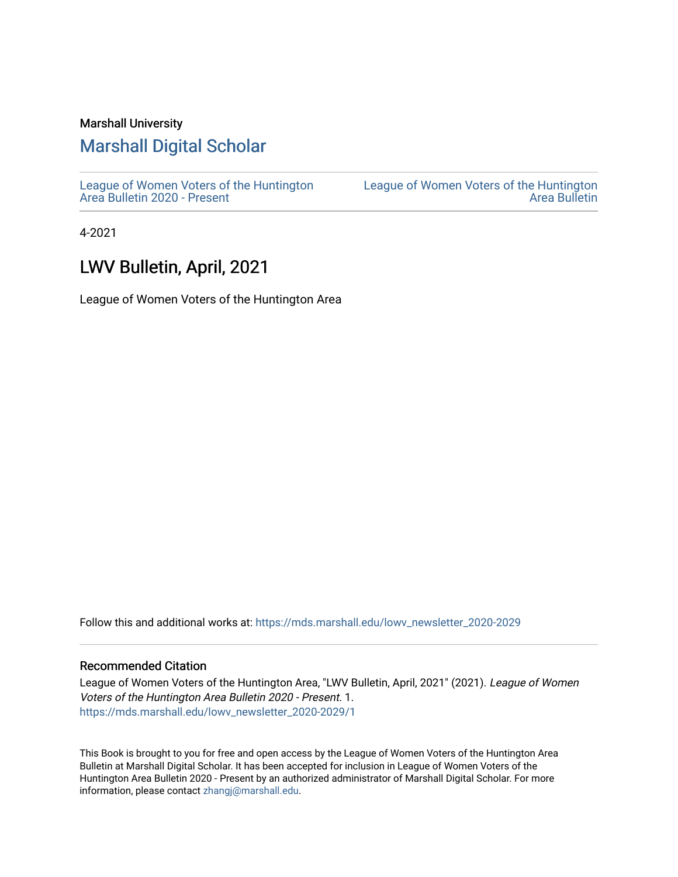#### Marshall University

# [Marshall Digital Scholar](https://mds.marshall.edu/)

[League of Women Voters of the Huntington](https://mds.marshall.edu/lowv_newsletter_2020-2029) [Area Bulletin 2020 - Present](https://mds.marshall.edu/lowv_newsletter_2020-2029)

[League of Women Voters of the Huntington](https://mds.marshall.edu/lowv_newsletter)  [Area Bulletin](https://mds.marshall.edu/lowv_newsletter) 

4-2021

## LWV Bulletin, April, 2021

League of Women Voters of the Huntington Area

Follow this and additional works at: [https://mds.marshall.edu/lowv\\_newsletter\\_2020-2029](https://mds.marshall.edu/lowv_newsletter_2020-2029?utm_source=mds.marshall.edu%2Flowv_newsletter_2020-2029%2F1&utm_medium=PDF&utm_campaign=PDFCoverPages) 

#### Recommended Citation

League of Women Voters of the Huntington Area, "LWV Bulletin, April, 2021" (2021). League of Women Voters of the Huntington Area Bulletin 2020 - Present. 1. [https://mds.marshall.edu/lowv\\_newsletter\\_2020-2029/1](https://mds.marshall.edu/lowv_newsletter_2020-2029/1?utm_source=mds.marshall.edu%2Flowv_newsletter_2020-2029%2F1&utm_medium=PDF&utm_campaign=PDFCoverPages) 

This Book is brought to you for free and open access by the League of Women Voters of the Huntington Area Bulletin at Marshall Digital Scholar. It has been accepted for inclusion in League of Women Voters of the Huntington Area Bulletin 2020 - Present by an authorized administrator of Marshall Digital Scholar. For more information, please contact [zhangj@marshall.edu.](mailto:zhangj@marshall.edu)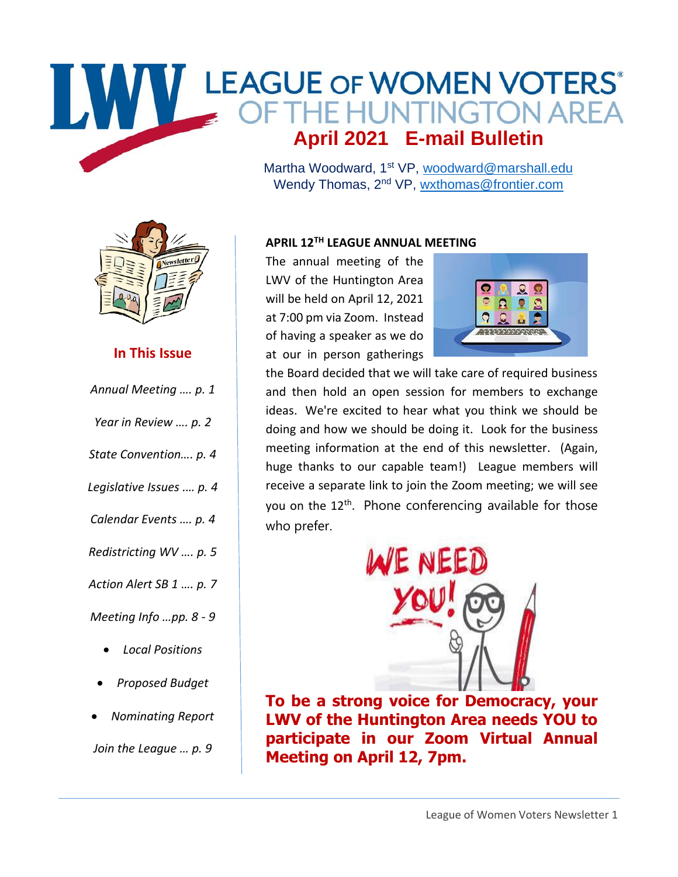# WWW LEAGUE OF WOMEN VOTERS **April 2021 E-mail Bulletin**

Martha Woodward, 1<sup>st</sup> VP, [woodward@marshall.edu](mailto:woodward@marshall.edu) Wendy Thomas, 2<sup>nd</sup> VP, [wxthomas@frontier.com](mailto:wxthomas@frontier.com)



## **In This Issue**

*Annual Meeting …. p. 1*

| Year in Review  p. 2  |
|-----------------------|
| State Convention p. 4 |

- *Legislative Issues .… p. 4*
- *Calendar Events …. p. 4*
- *Redistricting WV …. p. 5*

*Action Alert SB 1 …. p. 7*

*Meeting Info …pp. 8 - 9*

- *Local Positions*
- *Proposed Budget*
- *Nominating Report*

*Join the League … p. 9*

#### **APRIL 12TH LEAGUE ANNUAL MEETING**

The annual meeting of the LWV of the Huntington Area will be held on April 12, 2021 at 7:00 pm via Zoom. Instead of having a speaker as we do at our in person gatherings



the Board decided that we will take care of required business and then hold an open session for members to exchange ideas. We're excited to hear what you think we should be doing and how we should be doing it. Look for the business meeting information at the end of this newsletter. (Again, huge thanks to our capable team!) League members will receive a separate link to join the Zoom meeting; we will see you on the 12<sup>th</sup>. Phone conferencing available for those who prefer.



**To be a strong voice for Democracy, your LWV of the Huntington Area needs YOU to participate in our Zoom Virtual Annual Meeting on April 12, 7pm.**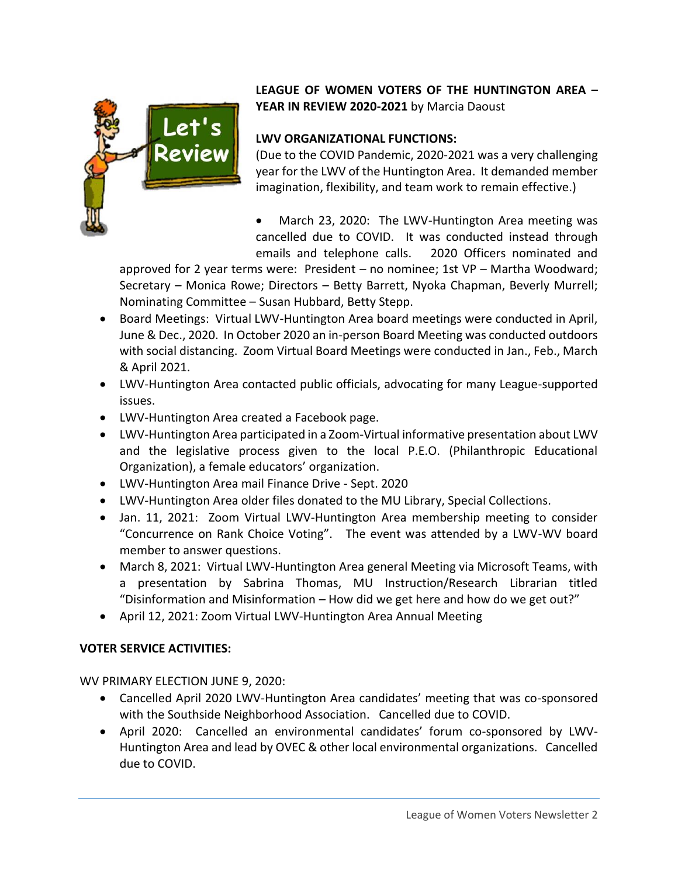

## **LEAGUE OF WOMEN VOTERS OF THE HUNTINGTON AREA – YEAR IN REVIEW 2020-2021** by Marcia Daoust

## **LWV ORGANIZATIONAL FUNCTIONS:**

(Due to the COVID Pandemic, 2020-2021 was a very challenging year for the LWV of the Huntington Area. It demanded member imagination, flexibility, and team work to remain effective.)

March 23, 2020: The LWV-Huntington Area meeting was cancelled due to COVID. It was conducted instead through emails and telephone calls. 2020 Officers nominated and

approved for 2 year terms were: President – no nominee; 1st VP – Martha Woodward; Secretary – Monica Rowe; Directors – Betty Barrett, Nyoka Chapman, Beverly Murrell; Nominating Committee – Susan Hubbard, Betty Stepp.

- Board Meetings: Virtual LWV-Huntington Area board meetings were conducted in April, June & Dec., 2020. In October 2020 an in-person Board Meeting was conducted outdoors with social distancing. Zoom Virtual Board Meetings were conducted in Jan., Feb., March & April 2021.
- LWV-Huntington Area contacted public officials, advocating for many League-supported issues.
- LWV-Huntington Area created a Facebook page.
- LWV-Huntington Area participated in a Zoom-Virtual informative presentation about LWV and the legislative process given to the local P.E.O. (Philanthropic Educational Organization), a female educators' organization.
- LWV-Huntington Area mail Finance Drive Sept. 2020
- LWV-Huntington Area older files donated to the MU Library, Special Collections.
- Jan. 11, 2021: Zoom Virtual LWV-Huntington Area membership meeting to consider "Concurrence on Rank Choice Voting". The event was attended by a LWV-WV board member to answer questions.
- March 8, 2021: Virtual LWV-Huntington Area general Meeting via Microsoft Teams, with a presentation by Sabrina Thomas, MU Instruction/Research Librarian titled "Disinformation and Misinformation – How did we get here and how do we get out?"
- April 12, 2021: Zoom Virtual LWV-Huntington Area Annual Meeting

#### **VOTER SERVICE ACTIVITIES:**

WV PRIMARY ELECTION JUNE 9, 2020:

- Cancelled April 2020 LWV-Huntington Area candidates' meeting that was co-sponsored with the Southside Neighborhood Association. Cancelled due to COVID.
- April 2020: Cancelled an environmental candidates' forum co-sponsored by LWV-Huntington Area and lead by OVEC & other local environmental organizations. Cancelled due to COVID.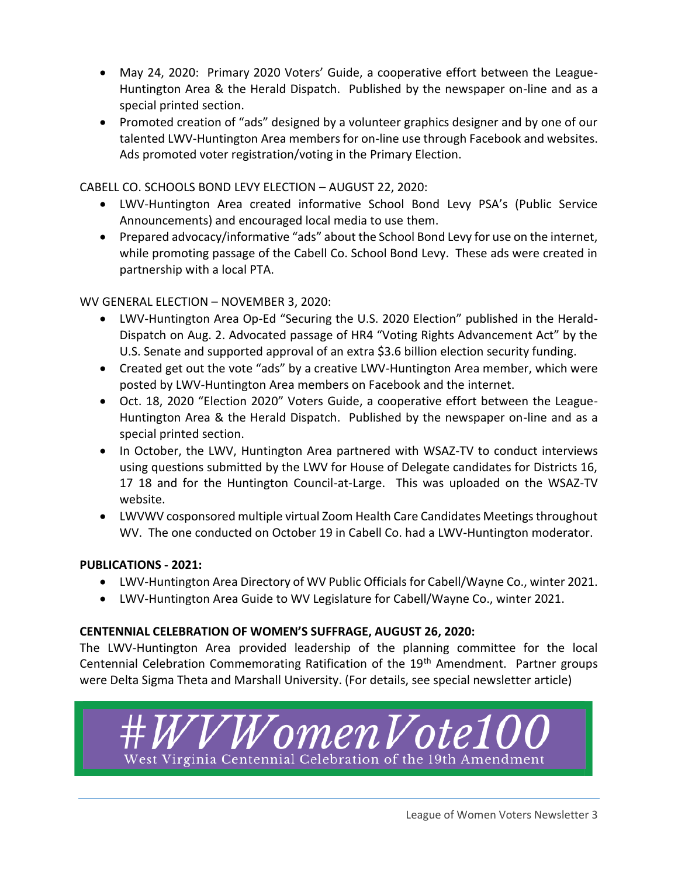- May 24, 2020: Primary 2020 Voters' Guide, a cooperative effort between the League-Huntington Area & the Herald Dispatch. Published by the newspaper on-line and as a special printed section.
- Promoted creation of "ads" designed by a volunteer graphics designer and by one of our talented LWV-Huntington Area members for on-line use through Facebook and websites. Ads promoted voter registration/voting in the Primary Election.

CABELL CO. SCHOOLS BOND LEVY ELECTION – AUGUST 22, 2020:

- LWV-Huntington Area created informative School Bond Levy PSA's (Public Service Announcements) and encouraged local media to use them.
- Prepared advocacy/informative "ads" about the School Bond Levy for use on the internet, while promoting passage of the Cabell Co. School Bond Levy. These ads were created in partnership with a local PTA.

WV GENERAL ELECTION – NOVEMBER 3, 2020:

- LWV-Huntington Area Op-Ed "Securing the U.S. 2020 Election" published in the Herald-Dispatch on Aug. 2. Advocated passage of HR4 "Voting Rights Advancement Act" by the U.S. Senate and supported approval of an extra \$3.6 billion election security funding.
- Created get out the vote "ads" by a creative LWV-Huntington Area member, which were posted by LWV-Huntington Area members on Facebook and the internet.
- Oct. 18, 2020 "Election 2020" Voters Guide, a cooperative effort between the League-Huntington Area & the Herald Dispatch. Published by the newspaper on-line and as a special printed section.
- In October, the LWV, Huntington Area partnered with WSAZ-TV to conduct interviews using questions submitted by the LWV for House of Delegate candidates for Districts 16, 17 18 and for the Huntington Council-at-Large. This was uploaded on the WSAZ-TV website.
- LWVWV cosponsored multiple virtual Zoom Health Care Candidates Meetings throughout WV. The one conducted on October 19 in Cabell Co. had a LWV-Huntington moderator.

## **PUBLICATIONS - 2021:**

- LWV-Huntington Area Directory of WV Public Officials for Cabell/Wayne Co., winter 2021.
- LWV-Huntington Area Guide to WV Legislature for Cabell/Wayne Co., winter 2021.

#### **CENTENNIAL CELEBRATION OF WOMEN'S SUFFRAGE, AUGUST 26, 2020:**

The LWV-Huntington Area provided leadership of the planning committee for the local Centennial Celebration Commemorating Ratification of the 19<sup>th</sup> Amendment. Partner groups were Delta Sigma Theta and Marshall University. (For details, see special newsletter article)

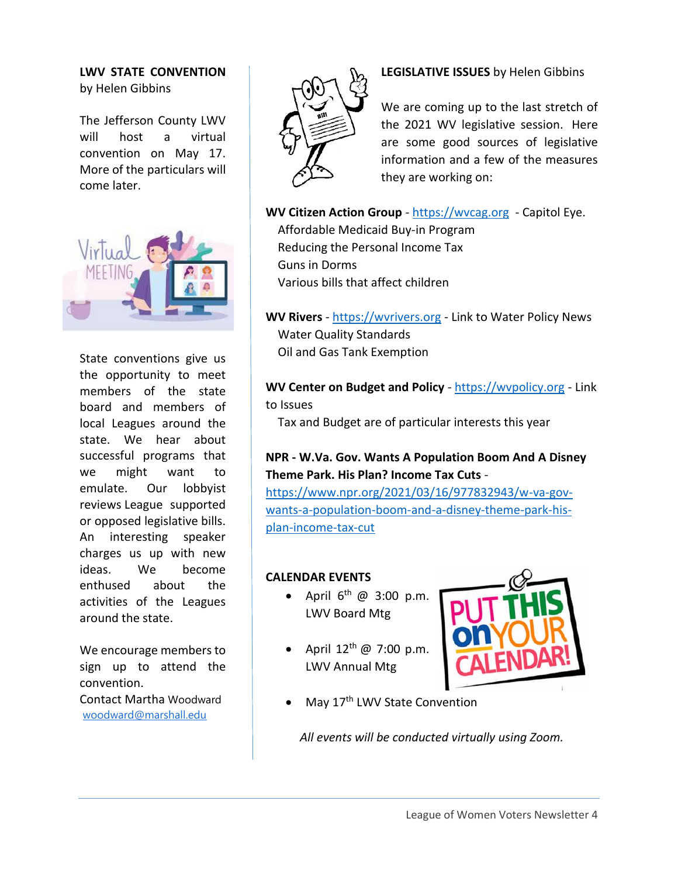#### **LWV STATE CONVENTION** by Helen Gibbins

The Jefferson County LWV will host a virtual convention on May 17. More of the particulars will come later.



State conventions give us the opportunity to meet members of the state board and members of local Leagues around the state. We hear about successful programs that we might want to emulate. Our lobbyist reviews League supported or opposed legislative bills. An interesting speaker charges us up with new ideas. We become enthused about the activities of the Leagues around the state.

We encourage members to sign up to attend the convention. Contact Martha Woodward

[woodward@marshall.edu](mailto:woodward@marshall.edu)



### **LEGISLATIVE ISSUES** by Helen Gibbins

We are coming up to the last stretch of the 2021 WV legislative session. Here are some good sources of legislative information and a few of the measures they are working on:

WV Citizen Action Group - [https://wvcag.org](https://wvcag.org/) - Capitol Eye. Affordable Medicaid Buy-in Program

 Reducing the Personal Income Tax Guns in Dorms Various bills that affect children

**WV Rivers** - [https://wvrivers.org](https://wvrivers.org/) - Link to Water Policy News Water Quality Standards Oil and Gas Tank Exemption

**WV Center on Budget and Policy** - [https://wvpolicy.org](https://wvpolicy.org/) - Link to Issues

Tax and Budget are of particular interests this year

## **NPR - W.Va. Gov. Wants A Population Boom And A Disney Theme Park. His Plan? Income Tax Cuts** -

[https://www.npr.org/2021/03/16/977832943/w-va-gov](https://www.npr.org/2021/03/16/977832943/w-va-gov-wants-a-population-boom-and-a-disney-theme-park-his-plan-income-tax-cut)[wants-a-population-boom-and-a-disney-theme-park-his](https://www.npr.org/2021/03/16/977832943/w-va-gov-wants-a-population-boom-and-a-disney-theme-park-his-plan-income-tax-cut)[plan-income-tax-cut](https://www.npr.org/2021/03/16/977832943/w-va-gov-wants-a-population-boom-and-a-disney-theme-park-his-plan-income-tax-cut)

#### **CALENDAR EVENTS**

- April  $6^{th}$  @ 3:00 p.m. LWV Board Mtg
- April  $12^{th}$  @ 7:00 p.m. LWV Annual Mtg



May 17<sup>th</sup> LWV State Convention

*All events will be conducted virtually using Zoom.*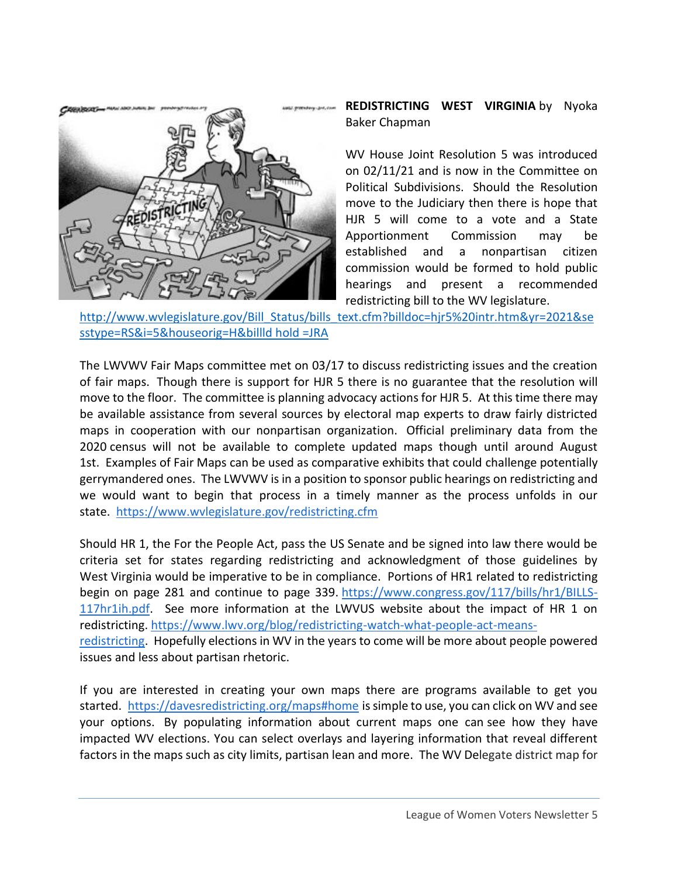

**REDISTRICTING WEST VIRGINIA** by Nyoka Baker Chapman

WV House Joint Resolution 5 was introduced on 02/11/21 and is now in the Committee on Political Subdivisions. Should the Resolution move to the Judiciary then there is hope that HJR 5 will come to a vote and a State Apportionment Commission may be established and a nonpartisan citizen commission would be formed to hold public hearings and present a recommended redistricting bill to the WV legislature.

[http://www.wvlegislature.gov/Bill\\_Status/bills\\_text.cfm?billdoc=hjr5%20intr.htm&yr=2021&se](http://www.wvlegislature.gov/Bill_Status/bills_text.cfm?billdoc=hjr5%20intr.htm&yr=2021&sesstype=RS&i=5&houseorig=H&billld%20hold%20=JRA) [sstype=RS&i=5&houseorig=H&billld hold =JRA](http://www.wvlegislature.gov/Bill_Status/bills_text.cfm?billdoc=hjr5%20intr.htm&yr=2021&sesstype=RS&i=5&houseorig=H&billld%20hold%20=JRA)

The LWVWV Fair Maps committee met on 03/17 to discuss redistricting issues and the creation of fair maps. Though there is support for HJR 5 there is no guarantee that the resolution will move to the floor. The committee is planning advocacy actions for HJR 5. At this time there may be available assistance from several sources by electoral map experts to draw fairly districted maps in cooperation with our nonpartisan organization. Official preliminary data from the 2020 census will not be available to complete updated maps though until around August 1st. Examples of Fair Maps can be used as comparative exhibits that could challenge potentially gerrymandered ones. The LWVWV is in a position to sponsor public hearings on redistricting and we would want to begin that process in a timely manner as the process unfolds in our state. <https://www.wvlegislature.gov/redistricting.cfm>

Should HR 1, the For the People Act, pass the US Senate and be signed into law there would be criteria set for states regarding redistricting and acknowledgment of those guidelines by West Virginia would be imperative to be in compliance. Portions of HR1 related to redistricting begin on page 281 and continue to page 339. [https://www.congress.gov/117/bills/hr1/BILLS-](https://www.congress.gov/117/bills/hr1/BILLS-117hr1ih.pdf)[117hr1ih.pdf.](https://www.congress.gov/117/bills/hr1/BILLS-117hr1ih.pdf) See more information at the LWVUS website about the impact of HR 1 on redistricting. [https://www.lwv.org/blog/redistricting-watch-what-people-act-means](https://www.lwv.org/blog/redistricting-watch-what-people-act-means-redistricting)[redistricting.](https://www.lwv.org/blog/redistricting-watch-what-people-act-means-redistricting) Hopefully elections in WV in the years to come will be more about people powered issues and less about partisan rhetoric.

If you are interested in creating your own maps there are programs available to get you started. <https://davesredistricting.org/maps#home> is simple to use, you can click on WV and see your options. By populating information about current maps one can see how they have impacted WV elections. You can select overlays and layering information that reveal different factors in the maps such as city limits, partisan lean and more. The WV Delegate district map for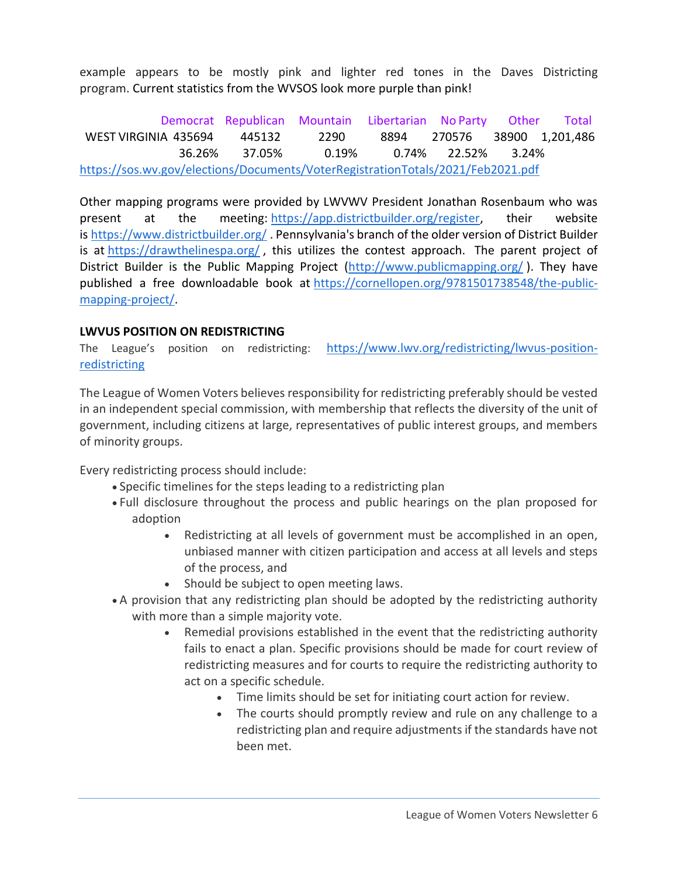example appears to be mostly pink and lighter red tones in the Daves Districting program. Current statistics from the WVSOS look more purple than pink!

Democrat Republican Mountain Libertarian No Party Other Total WEST VIRGINIA 435694 445132 2290 8894 270576 38900 1,201,486 36.26% 37.05% 0.19% 0.74% 22.52% 3.24% <https://sos.wv.gov/elections/Documents/VoterRegistrationTotals/2021/Feb2021.pdf>

Other mapping programs were provided by LWVWV President Jonathan Rosenbaum who was present at the meeting: [https://app.districtbuilder.org/register,](https://app.districtbuilder.org/register) their website is <https://www.districtbuilder.org/>. Pennsylvania's branch of the older version of District Builder is at <https://drawthelinespa.org/>, this utilizes the contest approach. The parent project of District Builder is the Public Mapping Project [\(http://www.publicmapping.org/](http://www.publicmapping.org/) ). They have published a free downloadable book at [https://cornellopen.org/9781501738548/the-public](https://cornellopen.org/9781501738548/the-public-mapping-project/)[mapping-project/.](https://cornellopen.org/9781501738548/the-public-mapping-project/)

#### **LWVUS POSITION ON REDISTRICTING**

The League's position on redistricting: [https://www.lwv.org/redistricting/lwvus-position](https://www.lwv.org/redistricting/lwvus-position-redistricting)**[redistricting](https://www.lwv.org/redistricting/lwvus-position-redistricting)** 

The League of Women Voters believes responsibility for redistricting preferably should be vested in an independent special commission, with membership that reflects the diversity of the unit of government, including citizens at large, representatives of public interest groups, and members of minority groups.

Every redistricting process should include:

- Specific timelines for the steps leading to a redistricting plan
- Full disclosure throughout the process and public hearings on the plan proposed for adoption
	- Redistricting at all levels of government must be accomplished in an open, unbiased manner with citizen participation and access at all levels and steps of the process, and
	- Should be subject to open meeting laws.
- A provision that any redistricting plan should be adopted by the redistricting authority with more than a simple majority vote.
	- Remedial provisions established in the event that the redistricting authority fails to enact a plan. Specific provisions should be made for court review of redistricting measures and for courts to require the redistricting authority to act on a specific schedule.
		- Time limits should be set for initiating court action for review.
		- The courts should promptly review and rule on any challenge to a redistricting plan and require adjustments if the standards have not been met.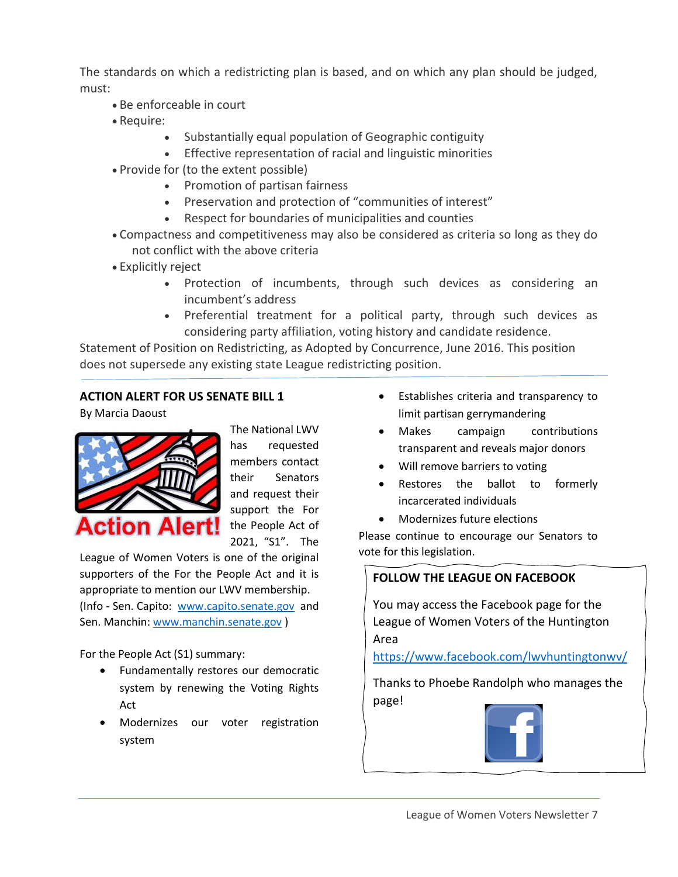The standards on which a redistricting plan is based, and on which any plan should be judged, must:

- Be enforceable in court
- Require:
	- Substantially equal population of Geographic contiguity
	- Effective representation of racial and linguistic minorities
- Provide for (to the extent possible)
	- Promotion of partisan fairness
	- Preservation and protection of "communities of interest"
	- Respect for boundaries of municipalities and counties
- Compactness and competitiveness may also be considered as criteria so long as they do not conflict with the above criteria
- Explicitly reject
	- Protection of incumbents, through such devices as considering an incumbent's address
	- Preferential treatment for a political party, through such devices as considering party affiliation, voting history and candidate residence.

Statement of Position on Redistricting, as Adopted by Concurrence, June 2016. This position does not supersede any existing state League redistricting position.

#### **ACTION ALERT FOR US SENATE BILL 1**

By Marcia Daoust



The National LWV has requested members contact their Senators and request their support the For the People Act of 2021, "S1". The

League of Women Voters is one of the original supporters of the For the People Act and it is appropriate to mention our LWV membership. (Info - Sen. Capito: [www.capito.senate.gov](http://www.capito.senate.gov/) and Sen. Manchin: [www.manchin.senate.gov](http://www.manchin.senate.gov/) )

For the People Act (S1) summary:

- Fundamentally restores our democratic system by renewing the Voting Rights Act
- Modernizes our voter registration system
- Establishes criteria and transparency to limit partisan gerrymandering
- Makes campaign contributions transparent and reveals major donors
- Will remove barriers to voting
- Restores the ballot to formerly incarcerated individuals
- Modernizes future elections

Please continue to encourage our Senators to vote for this legislation.

## **FOLLOW THE LEAGUE ON FACEBOOK**

You may access the Facebook page for the League of Women Voters of the Huntington Area

<https://www.facebook.com/lwvhuntingtonwv/>

Thanks to Phoebe Randolph who manages the page!

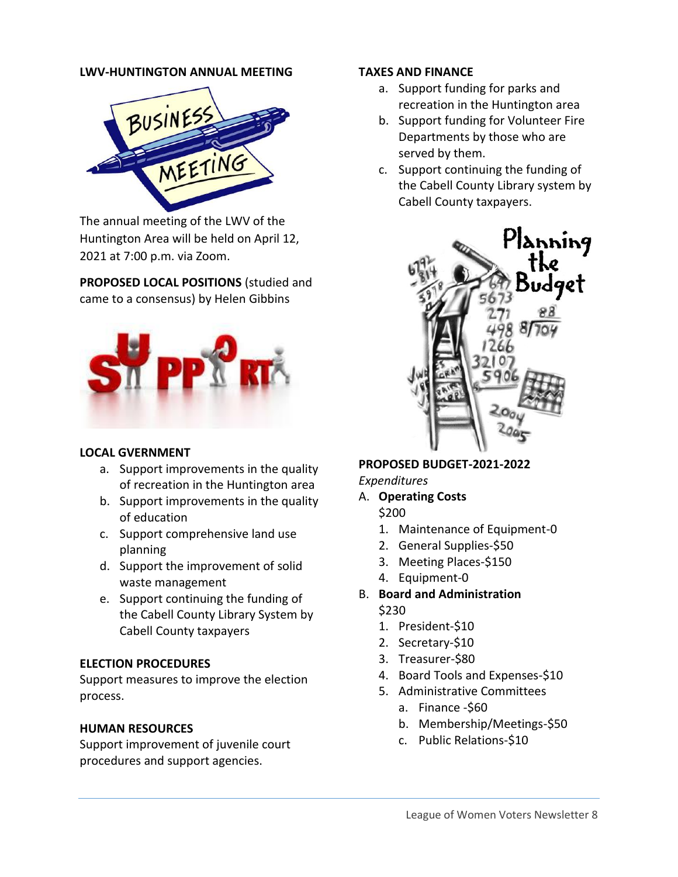#### **LWV-HUNTINGTON ANNUAL MEETING**



The annual meeting of the LWV of the Huntington Area will be held on April 12, 2021 at 7:00 p.m. via Zoom.

**PROPOSED LOCAL POSITIONS** (studied and came to a consensus) by Helen Gibbins



#### **LOCAL GVERNMENT**

- a. Support improvements in the quality of recreation in the Huntington area
- b. Support improvements in the quality of education
- c. Support comprehensive land use planning
- d. Support the improvement of solid waste management
- e. Support continuing the funding of the Cabell County Library System by Cabell County taxpayers

#### **ELECTION PROCEDURES**

Support measures to improve the election process.

#### **HUMAN RESOURCES**

Support improvement of juvenile court procedures and support agencies.

#### **TAXES AND FINANCE**

- a. Support funding for parks and recreation in the Huntington area
- b. Support funding for Volunteer Fire Departments by those who are served by them.
- c. Support continuing the funding of the Cabell County Library system by Cabell County taxpayers.



**PROPOSED BUDGET-2021-2022** *Expenditures*

- A. **Operating Costs**
	- \$200
	- 1. Maintenance of Equipment-0
	- 2. General Supplies-\$50
	- 3. Meeting Places-\$150
	- 4. Equipment-0
- B. **Board and Administration** \$230
	- 1. President-\$10
	- 2. Secretary-\$10
	- 3. Treasurer-\$80
	- 4. Board Tools and Expenses-\$10
	- 5. Administrative Committees
		- a. Finance -\$60
		- b. Membership/Meetings-\$50
		- c. Public Relations-\$10